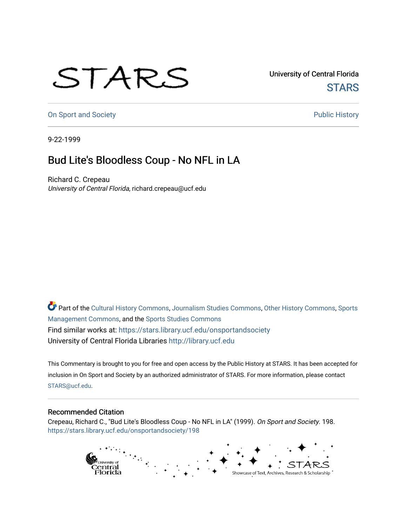## STARS

University of Central Florida **STARS** 

[On Sport and Society](https://stars.library.ucf.edu/onsportandsociety) **Public History** Public History

9-22-1999

## Bud Lite's Bloodless Coup - No NFL in LA

Richard C. Crepeau University of Central Florida, richard.crepeau@ucf.edu

Part of the [Cultural History Commons](http://network.bepress.com/hgg/discipline/496?utm_source=stars.library.ucf.edu%2Fonsportandsociety%2F198&utm_medium=PDF&utm_campaign=PDFCoverPages), [Journalism Studies Commons,](http://network.bepress.com/hgg/discipline/333?utm_source=stars.library.ucf.edu%2Fonsportandsociety%2F198&utm_medium=PDF&utm_campaign=PDFCoverPages) [Other History Commons,](http://network.bepress.com/hgg/discipline/508?utm_source=stars.library.ucf.edu%2Fonsportandsociety%2F198&utm_medium=PDF&utm_campaign=PDFCoverPages) [Sports](http://network.bepress.com/hgg/discipline/1193?utm_source=stars.library.ucf.edu%2Fonsportandsociety%2F198&utm_medium=PDF&utm_campaign=PDFCoverPages) [Management Commons](http://network.bepress.com/hgg/discipline/1193?utm_source=stars.library.ucf.edu%2Fonsportandsociety%2F198&utm_medium=PDF&utm_campaign=PDFCoverPages), and the [Sports Studies Commons](http://network.bepress.com/hgg/discipline/1198?utm_source=stars.library.ucf.edu%2Fonsportandsociety%2F198&utm_medium=PDF&utm_campaign=PDFCoverPages) Find similar works at: <https://stars.library.ucf.edu/onsportandsociety> University of Central Florida Libraries [http://library.ucf.edu](http://library.ucf.edu/) 

This Commentary is brought to you for free and open access by the Public History at STARS. It has been accepted for inclusion in On Sport and Society by an authorized administrator of STARS. For more information, please contact [STARS@ucf.edu](mailto:STARS@ucf.edu).

## Recommended Citation

Crepeau, Richard C., "Bud Lite's Bloodless Coup - No NFL in LA" (1999). On Sport and Society. 198. [https://stars.library.ucf.edu/onsportandsociety/198](https://stars.library.ucf.edu/onsportandsociety/198?utm_source=stars.library.ucf.edu%2Fonsportandsociety%2F198&utm_medium=PDF&utm_campaign=PDFCoverPages)

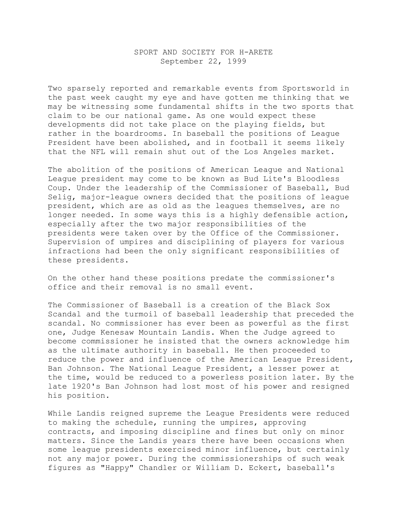## SPORT AND SOCIETY FOR H-ARETE September 22, 1999

Two sparsely reported and remarkable events from Sportsworld in the past week caught my eye and have gotten me thinking that we may be witnessing some fundamental shifts in the two sports that claim to be our national game. As one would expect these developments did not take place on the playing fields, but rather in the boardrooms. In baseball the positions of League President have been abolished, and in football it seems likely that the NFL will remain shut out of the Los Angeles market.

The abolition of the positions of American League and National League president may come to be known as Bud Lite's Bloodless Coup. Under the leadership of the Commissioner of Baseball, Bud Selig, major-league owners decided that the positions of league president, which are as old as the leagues themselves, are no longer needed. In some ways this is a highly defensible action, especially after the two major responsibilities of the presidents were taken over by the Office of the Commissioner. Supervision of umpires and disciplining of players for various infractions had been the only significant responsibilities of these presidents.

On the other hand these positions predate the commissioner's office and their removal is no small event.

The Commissioner of Baseball is a creation of the Black Sox Scandal and the turmoil of baseball leadership that preceded the scandal. No commissioner has ever been as powerful as the first one, Judge Kenesaw Mountain Landis. When the Judge agreed to become commissioner he insisted that the owners acknowledge him as the ultimate authority in baseball. He then proceeded to reduce the power and influence of the American League President, Ban Johnson. The National League President, a lesser power at the time, would be reduced to a powerless position later. By the late 1920's Ban Johnson had lost most of his power and resigned his position.

While Landis reigned supreme the League Presidents were reduced to making the schedule, running the umpires, approving contracts, and imposing discipline and fines but only on minor matters. Since the Landis years there have been occasions when some league presidents exercised minor influence, but certainly not any major power. During the commissionerships of such weak figures as "Happy" Chandler or William D. Eckert, baseball's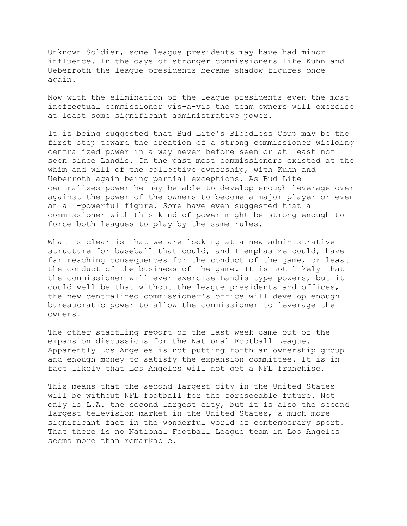Unknown Soldier, some league presidents may have had minor influence. In the days of stronger commissioners like Kuhn and Ueberroth the league presidents became shadow figures once again.

Now with the elimination of the league presidents even the most ineffectual commissioner vis-a-vis the team owners will exercise at least some significant administrative power.

It is being suggested that Bud Lite's Bloodless Coup may be the first step toward the creation of a strong commissioner wielding centralized power in a way never before seen or at least not seen since Landis. In the past most commissioners existed at the whim and will of the collective ownership, with Kuhn and Ueberroth again being partial exceptions. As Bud Lite centralizes power he may be able to develop enough leverage over against the power of the owners to become a major player or even an all-powerful figure. Some have even suggested that a commissioner with this kind of power might be strong enough to force both leagues to play by the same rules.

What is clear is that we are looking at a new administrative structure for baseball that could, and I emphasize could, have far reaching consequences for the conduct of the game, or least the conduct of the business of the game. It is not likely that the commissioner will ever exercise Landis type powers, but it could well be that without the league presidents and offices, the new centralized commissioner's office will develop enough bureaucratic power to allow the commissioner to leverage the owners.

The other startling report of the last week came out of the expansion discussions for the National Football League. Apparently Los Angeles is not putting forth an ownership group and enough money to satisfy the expansion committee. It is in fact likely that Los Angeles will not get a NFL franchise.

This means that the second largest city in the United States will be without NFL football for the foreseeable future. Not only is L.A. the second largest city, but it is also the second largest television market in the United States, a much more significant fact in the wonderful world of contemporary sport. That there is no National Football League team in Los Angeles seems more than remarkable.